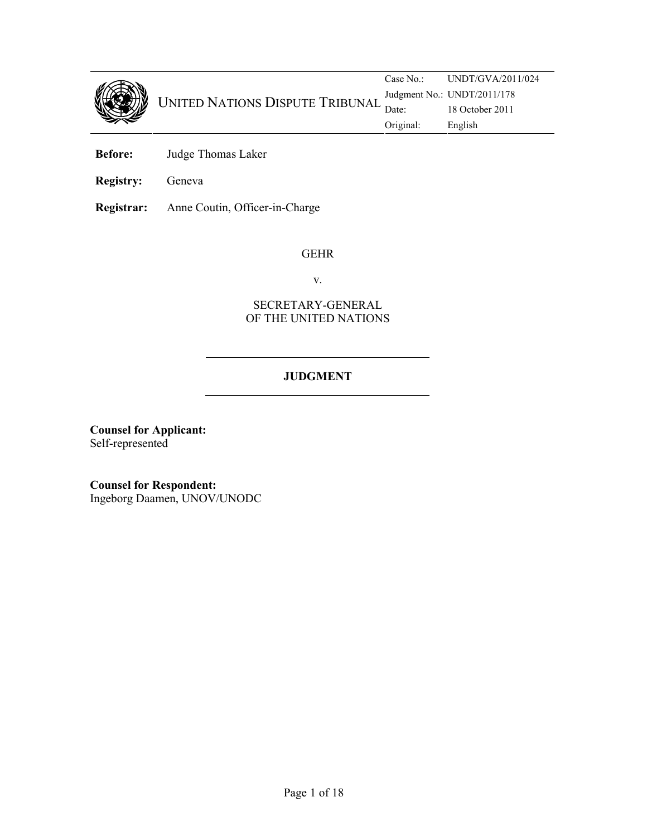

Case No.: UNDT/GVA/2011/024 Judgment No.: UNDT/2011/178 UNITED NATIONS DISPUTE TRIBUNAL Judgment No.: UND1/2011/1/8 Original: English

- Before: Judge Thomas Laker
- Registry: Geneva

Registrar: Anne Coutin, Officer-in-Charge

#### GEHR

v.

# SECRETARY-GENERAL OF THE UNITED NATIONS

# JUDGMENT

Counsel for Applicant: Self-represented

Counsel for Respondent: Ingeborg Daamen, UNOV/UNODC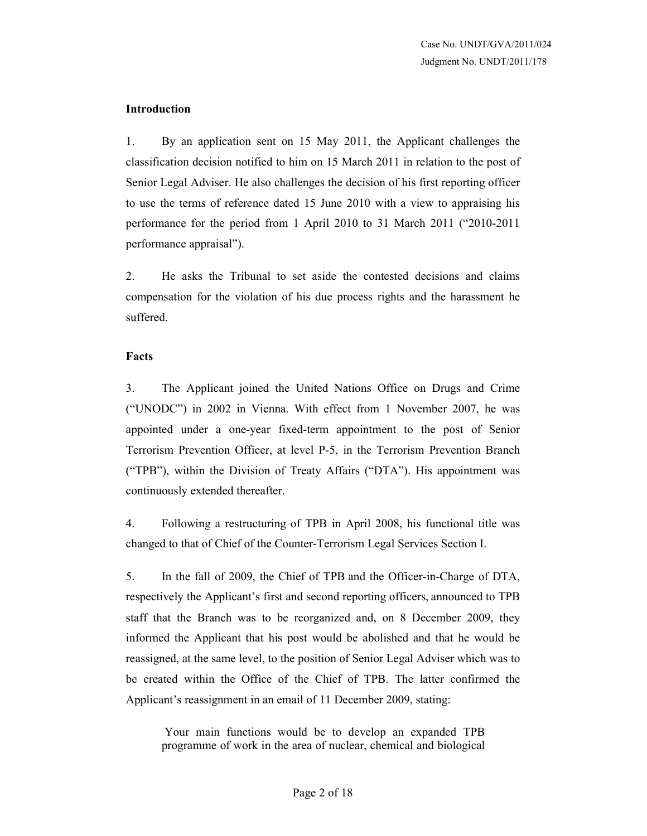#### Introduction

1. By an application sent on 15 May 2011, the Applicant challenges the classification decision notified to him on 15 March 2011 in relation to the post of Senior Legal Adviser. He also challenges the decision of his first reporting officer to use the terms of reference dated 15 June 2010 with a view to appraising his performance for the period from 1 April 2010 to 31 March 2011 ("2010-2011 performance appraisal").

2. He asks the Tribunal to set aside the contested decisions and claims compensation for the violation of his due process rights and the harassment he suffered.

#### Facts

3. The Applicant joined the United Nations Office on Drugs and Crime ("UNODC") in 2002 in Vienna. With effect from 1 November 2007, he was appointed under a one-year fixed-term appointment to the post of Senior Terrorism Prevention Officer, at level P-5, in the Terrorism Prevention Branch ("TPB"), within the Division of Treaty Affairs ("DTA"). His appointment was continuously extended thereafter.

4. Following a restructuring of TPB in April 2008, his functional title was changed to that of Chief of the Counter-Terrorism Legal Services Section I.

5. In the fall of 2009, the Chief of TPB and the Officer-in-Charge of DTA, respectively the Applicant's first and second reporting officers, announced to TPB staff that the Branch was to be reorganized and, on 8 December 2009, they informed the Applicant that his post would be abolished and that he would be reassigned, at the same level, to the position of Senior Legal Adviser which was to be created within the Office of the Chief of TPB. The latter confirmed the Applicant's reassignment in an email of 11 December 2009, stating:

 Your main functions would be to develop an expanded TPB programme of work in the area of nuclear, chemical and biological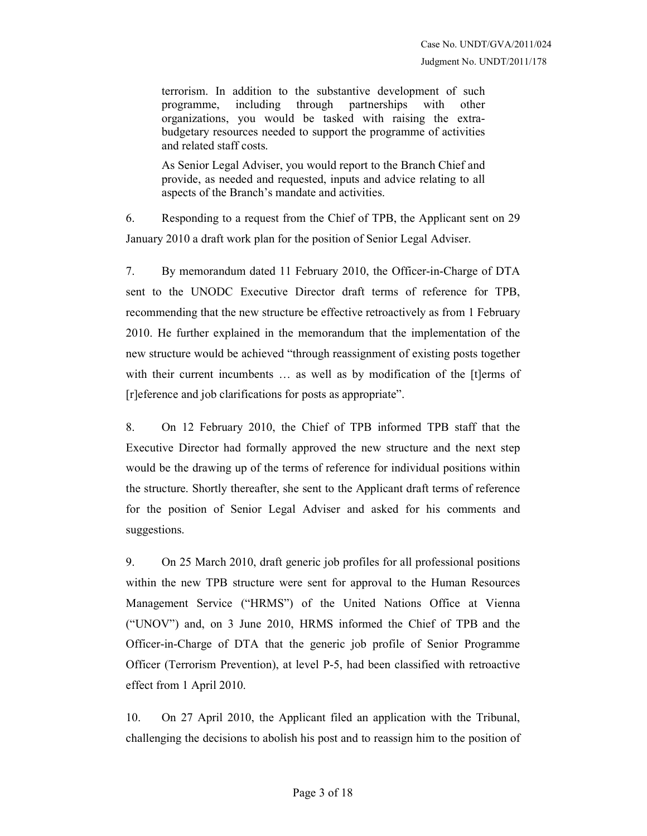terrorism. In addition to the substantive development of such programme, including through partnerships with other organizations, you would be tasked with raising the extrabudgetary resources needed to support the programme of activities and related staff costs.

As Senior Legal Adviser, you would report to the Branch Chief and provide, as needed and requested, inputs and advice relating to all aspects of the Branch's mandate and activities.

6. Responding to a request from the Chief of TPB, the Applicant sent on 29 January 2010 a draft work plan for the position of Senior Legal Adviser.

7. By memorandum dated 11 February 2010, the Officer-in-Charge of DTA sent to the UNODC Executive Director draft terms of reference for TPB, recommending that the new structure be effective retroactively as from 1 February 2010. He further explained in the memorandum that the implementation of the new structure would be achieved "through reassignment of existing posts together with their current incumbents ... as well as by modification of the [t]erms of [r]eference and job clarifications for posts as appropriate".

8. On 12 February 2010, the Chief of TPB informed TPB staff that the Executive Director had formally approved the new structure and the next step would be the drawing up of the terms of reference for individual positions within the structure. Shortly thereafter, she sent to the Applicant draft terms of reference for the position of Senior Legal Adviser and asked for his comments and suggestions.

9. On 25 March 2010, draft generic job profiles for all professional positions within the new TPB structure were sent for approval to the Human Resources Management Service ("HRMS") of the United Nations Office at Vienna ("UNOV") and, on 3 June 2010, HRMS informed the Chief of TPB and the Officer-in-Charge of DTA that the generic job profile of Senior Programme Officer (Terrorism Prevention), at level P-5, had been classified with retroactive effect from 1 April 2010.

10. On 27 April 2010, the Applicant filed an application with the Tribunal, challenging the decisions to abolish his post and to reassign him to the position of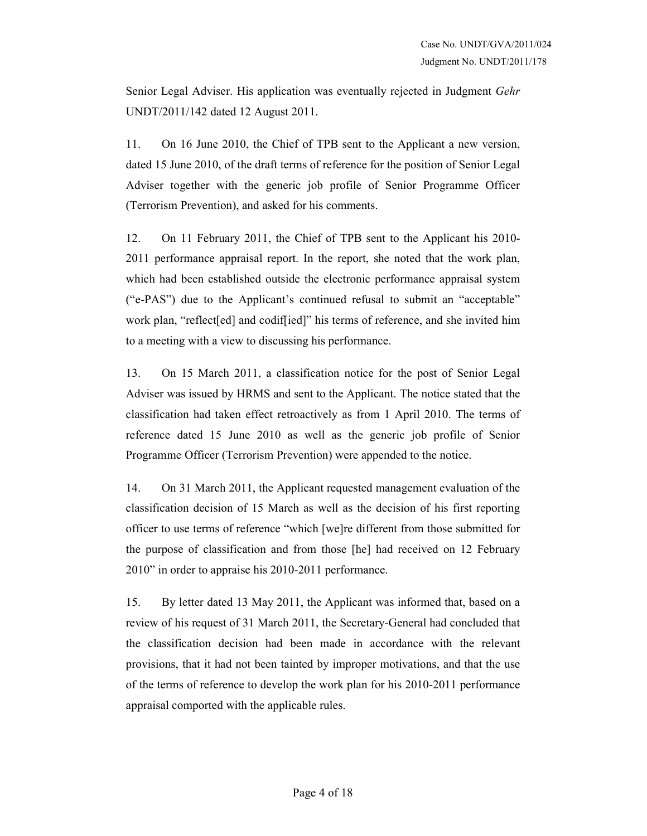Senior Legal Adviser. His application was eventually rejected in Judgment Gehr UNDT/2011/142 dated 12 August 2011.

11. On 16 June 2010, the Chief of TPB sent to the Applicant a new version, dated 15 June 2010, of the draft terms of reference for the position of Senior Legal Adviser together with the generic job profile of Senior Programme Officer (Terrorism Prevention), and asked for his comments.

12. On 11 February 2011, the Chief of TPB sent to the Applicant his 2010- 2011 performance appraisal report. In the report, she noted that the work plan, which had been established outside the electronic performance appraisal system ("e-PAS") due to the Applicant's continued refusal to submit an "acceptable" work plan, "reflect[ed] and codif[ied]" his terms of reference, and she invited him to a meeting with a view to discussing his performance.

13. On 15 March 2011, a classification notice for the post of Senior Legal Adviser was issued by HRMS and sent to the Applicant. The notice stated that the classification had taken effect retroactively as from 1 April 2010. The terms of reference dated 15 June 2010 as well as the generic job profile of Senior Programme Officer (Terrorism Prevention) were appended to the notice.

14. On 31 March 2011, the Applicant requested management evaluation of the classification decision of 15 March as well as the decision of his first reporting officer to use terms of reference "which [we]re different from those submitted for the purpose of classification and from those [he] had received on 12 February 2010" in order to appraise his 2010-2011 performance.

15. By letter dated 13 May 2011, the Applicant was informed that, based on a review of his request of 31 March 2011, the Secretary-General had concluded that the classification decision had been made in accordance with the relevant provisions, that it had not been tainted by improper motivations, and that the use of the terms of reference to develop the work plan for his 2010-2011 performance appraisal comported with the applicable rules.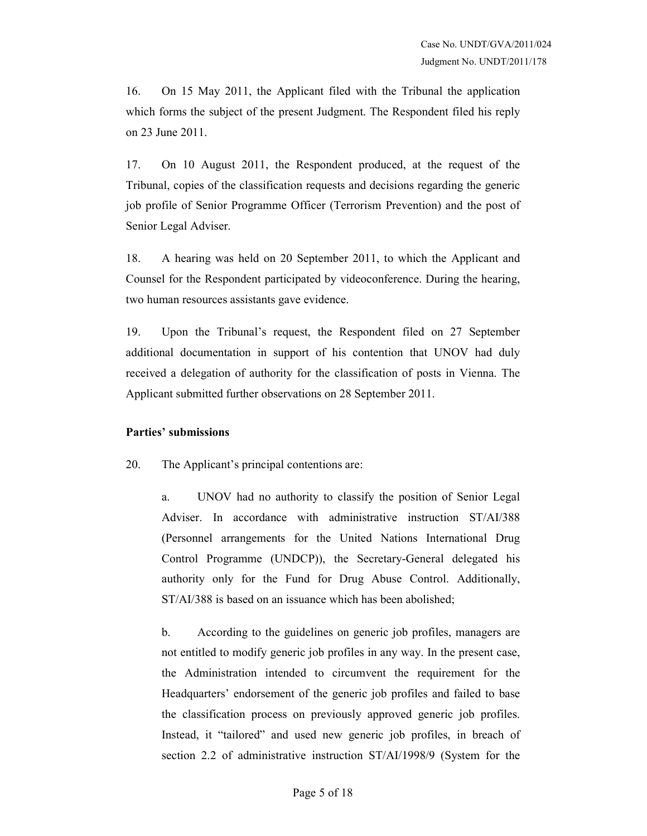16. On 15 May 2011, the Applicant filed with the Tribunal the application which forms the subject of the present Judgment. The Respondent filed his reply on 23 June 2011.

17. On 10 August 2011, the Respondent produced, at the request of the Tribunal, copies of the classification requests and decisions regarding the generic job profile of Senior Programme Officer (Terrorism Prevention) and the post of Senior Legal Adviser.

18. A hearing was held on 20 September 2011, to which the Applicant and Counsel for the Respondent participated by videoconference. During the hearing, two human resources assistants gave evidence.

19. Upon the Tribunal's request, the Respondent filed on 27 September additional documentation in support of his contention that UNOV had duly received a delegation of authority for the classification of posts in Vienna. The Applicant submitted further observations on 28 September 2011.

## Parties' submissions

20. The Applicant's principal contentions are:

a. UNOV had no authority to classify the position of Senior Legal Adviser. In accordance with administrative instruction ST/AI/388 (Personnel arrangements for the United Nations International Drug Control Programme (UNDCP)), the Secretary-General delegated his authority only for the Fund for Drug Abuse Control. Additionally, ST/AI/388 is based on an issuance which has been abolished;

b. According to the guidelines on generic job profiles, managers are not entitled to modify generic job profiles in any way. In the present case, the Administration intended to circumvent the requirement for the Headquarters' endorsement of the generic job profiles and failed to base the classification process on previously approved generic job profiles. Instead, it "tailored" and used new generic job profiles, in breach of section 2.2 of administrative instruction ST/AI/1998/9 (System for the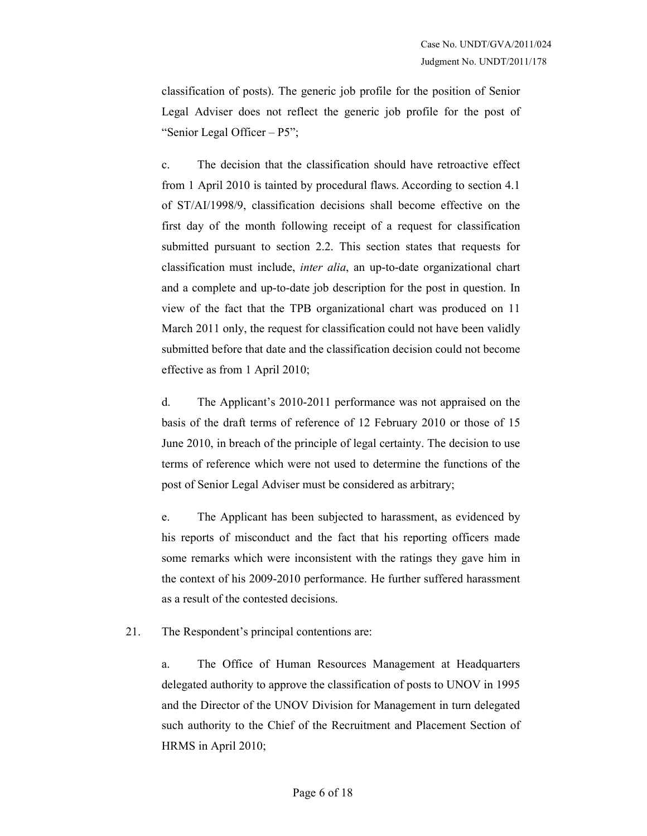classification of posts). The generic job profile for the position of Senior Legal Adviser does not reflect the generic job profile for the post of "Senior Legal Officer – P5";

c. The decision that the classification should have retroactive effect from 1 April 2010 is tainted by procedural flaws. According to section 4.1 of ST/AI/1998/9, classification decisions shall become effective on the first day of the month following receipt of a request for classification submitted pursuant to section 2.2. This section states that requests for classification must include, inter alia, an up-to-date organizational chart and a complete and up-to-date job description for the post in question. In view of the fact that the TPB organizational chart was produced on 11 March 2011 only, the request for classification could not have been validly submitted before that date and the classification decision could not become effective as from 1 April 2010;

d. The Applicant's 2010-2011 performance was not appraised on the basis of the draft terms of reference of 12 February 2010 or those of 15 June 2010, in breach of the principle of legal certainty. The decision to use terms of reference which were not used to determine the functions of the post of Senior Legal Adviser must be considered as arbitrary;

e. The Applicant has been subjected to harassment, as evidenced by his reports of misconduct and the fact that his reporting officers made some remarks which were inconsistent with the ratings they gave him in the context of his 2009-2010 performance. He further suffered harassment as a result of the contested decisions.

21. The Respondent's principal contentions are:

a. The Office of Human Resources Management at Headquarters delegated authority to approve the classification of posts to UNOV in 1995 and the Director of the UNOV Division for Management in turn delegated such authority to the Chief of the Recruitment and Placement Section of HRMS in April 2010;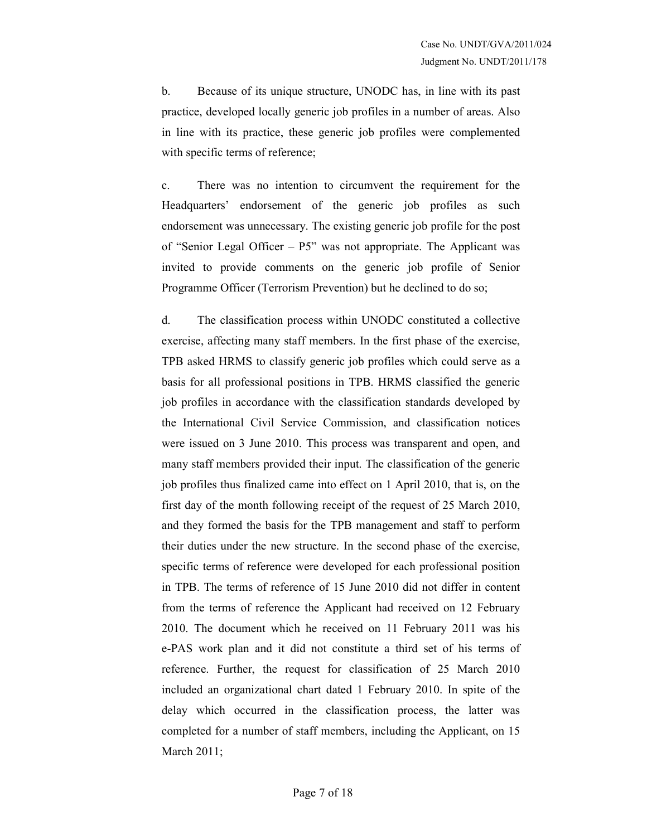b. Because of its unique structure, UNODC has, in line with its past practice, developed locally generic job profiles in a number of areas. Also in line with its practice, these generic job profiles were complemented with specific terms of reference;

c. There was no intention to circumvent the requirement for the Headquarters' endorsement of the generic job profiles as such endorsement was unnecessary. The existing generic job profile for the post of "Senior Legal Officer – P5" was not appropriate. The Applicant was invited to provide comments on the generic job profile of Senior Programme Officer (Terrorism Prevention) but he declined to do so;

d. The classification process within UNODC constituted a collective exercise, affecting many staff members. In the first phase of the exercise, TPB asked HRMS to classify generic job profiles which could serve as a basis for all professional positions in TPB. HRMS classified the generic job profiles in accordance with the classification standards developed by the International Civil Service Commission, and classification notices were issued on 3 June 2010. This process was transparent and open, and many staff members provided their input. The classification of the generic job profiles thus finalized came into effect on 1 April 2010, that is, on the first day of the month following receipt of the request of 25 March 2010, and they formed the basis for the TPB management and staff to perform their duties under the new structure. In the second phase of the exercise, specific terms of reference were developed for each professional position in TPB. The terms of reference of 15 June 2010 did not differ in content from the terms of reference the Applicant had received on 12 February 2010. The document which he received on 11 February 2011 was his e-PAS work plan and it did not constitute a third set of his terms of reference. Further, the request for classification of 25 March 2010 included an organizational chart dated 1 February 2010. In spite of the delay which occurred in the classification process, the latter was completed for a number of staff members, including the Applicant, on 15 March 2011;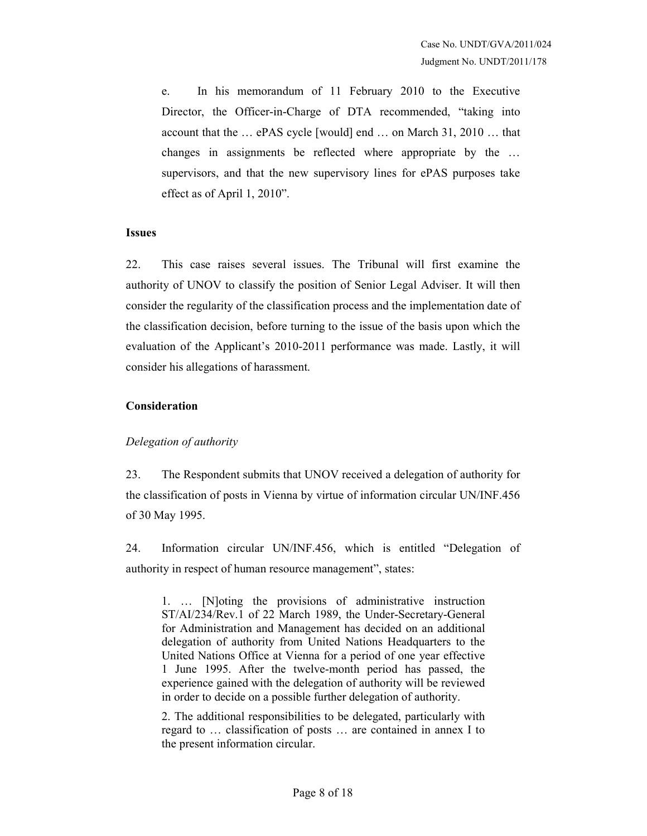e. In his memorandum of 11 February 2010 to the Executive Director, the Officer-in-Charge of DTA recommended, "taking into account that the … ePAS cycle [would] end … on March 31, 2010 … that changes in assignments be reflected where appropriate by the … supervisors, and that the new supervisory lines for ePAS purposes take effect as of April 1, 2010".

#### Issues

22. This case raises several issues. The Tribunal will first examine the authority of UNOV to classify the position of Senior Legal Adviser. It will then consider the regularity of the classification process and the implementation date of the classification decision, before turning to the issue of the basis upon which the evaluation of the Applicant's 2010-2011 performance was made. Lastly, it will consider his allegations of harassment.

#### Consideration

## Delegation of authority

23. The Respondent submits that UNOV received a delegation of authority for the classification of posts in Vienna by virtue of information circular UN/INF.456 of 30 May 1995.

24. Information circular UN/INF.456, which is entitled "Delegation of authority in respect of human resource management", states:

1. … [N]oting the provisions of administrative instruction ST/AI/234/Rev.1 of 22 March 1989, the Under-Secretary-General for Administration and Management has decided on an additional delegation of authority from United Nations Headquarters to the United Nations Office at Vienna for a period of one year effective 1 June 1995. After the twelve-month period has passed, the experience gained with the delegation of authority will be reviewed in order to decide on a possible further delegation of authority.

2. The additional responsibilities to be delegated, particularly with regard to … classification of posts … are contained in annex I to the present information circular.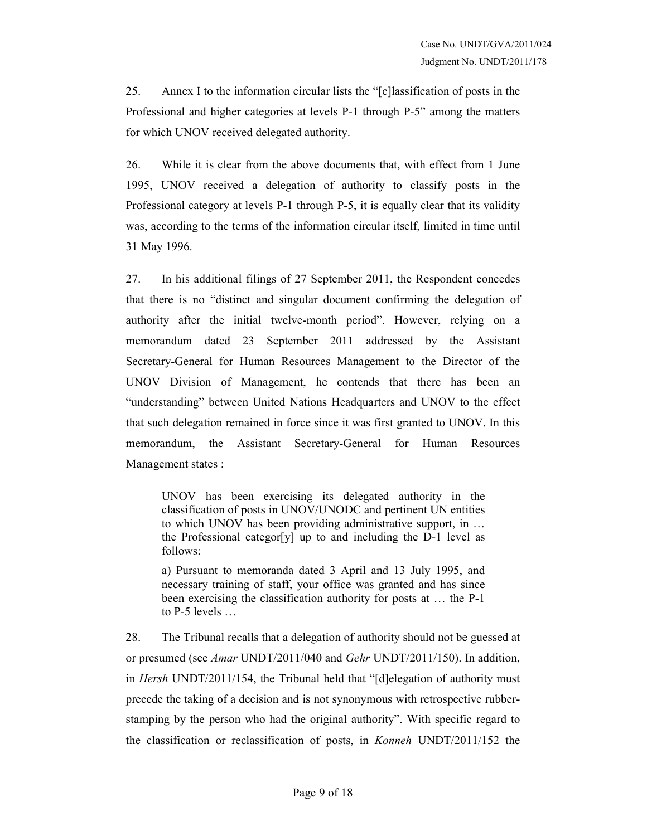25. Annex I to the information circular lists the "[c]lassification of posts in the Professional and higher categories at levels P-1 through P-5" among the matters for which UNOV received delegated authority.

26. While it is clear from the above documents that, with effect from 1 June 1995, UNOV received a delegation of authority to classify posts in the Professional category at levels P-1 through P-5, it is equally clear that its validity was, according to the terms of the information circular itself, limited in time until 31 May 1996.

27. In his additional filings of 27 September 2011, the Respondent concedes that there is no "distinct and singular document confirming the delegation of authority after the initial twelve-month period". However, relying on a memorandum dated 23 September 2011 addressed by the Assistant Secretary-General for Human Resources Management to the Director of the UNOV Division of Management, he contends that there has been an "understanding" between United Nations Headquarters and UNOV to the effect that such delegation remained in force since it was first granted to UNOV. In this memorandum, the Assistant Secretary-General for Human Resources Management states :

UNOV has been exercising its delegated authority in the classification of posts in UNOV/UNODC and pertinent UN entities to which UNOV has been providing administrative support, in … the Professional categor[y] up to and including the D-1 level as follows:

a) Pursuant to memoranda dated 3 April and 13 July 1995, and necessary training of staff, your office was granted and has since been exercising the classification authority for posts at … the P-1 to P-5 levels …

28. The Tribunal recalls that a delegation of authority should not be guessed at or presumed (see Amar UNDT/2011/040 and Gehr UNDT/2011/150). In addition, in Hersh UNDT/2011/154, the Tribunal held that "[d]elegation of authority must precede the taking of a decision and is not synonymous with retrospective rubberstamping by the person who had the original authority". With specific regard to the classification or reclassification of posts, in Konneh UNDT/2011/152 the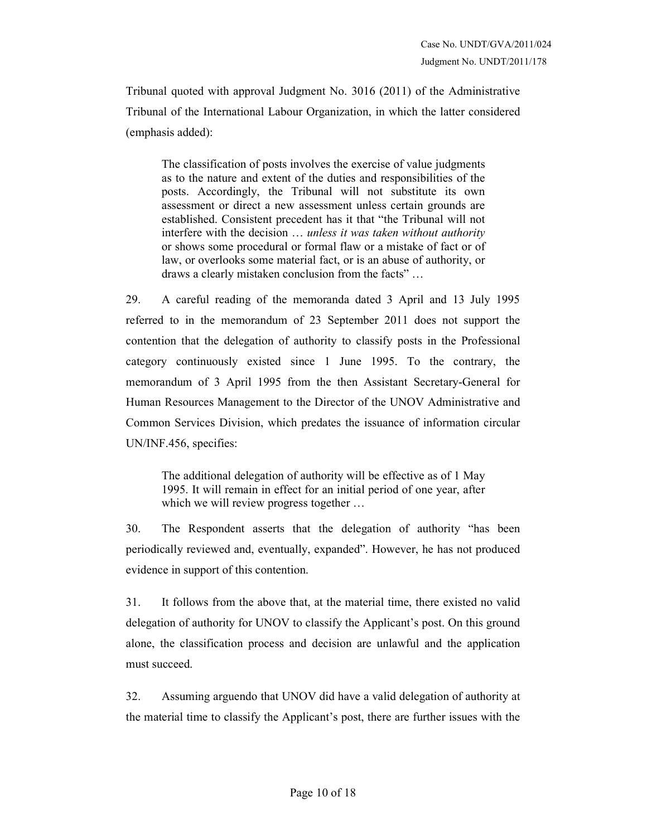Tribunal quoted with approval Judgment No. 3016 (2011) of the Administrative Tribunal of the International Labour Organization, in which the latter considered (emphasis added):

The classification of posts involves the exercise of value judgments as to the nature and extent of the duties and responsibilities of the posts. Accordingly, the Tribunal will not substitute its own assessment or direct a new assessment unless certain grounds are established. Consistent precedent has it that "the Tribunal will not interfere with the decision ... unless it was taken without authority or shows some procedural or formal flaw or a mistake of fact or of law, or overlooks some material fact, or is an abuse of authority, or draws a clearly mistaken conclusion from the facts" …

29. A careful reading of the memoranda dated 3 April and 13 July 1995 referred to in the memorandum of 23 September 2011 does not support the contention that the delegation of authority to classify posts in the Professional category continuously existed since 1 June 1995. To the contrary, the memorandum of 3 April 1995 from the then Assistant Secretary-General for Human Resources Management to the Director of the UNOV Administrative and Common Services Division, which predates the issuance of information circular UN/INF.456, specifies:

The additional delegation of authority will be effective as of 1 May 1995. It will remain in effect for an initial period of one year, after which we will review progress together ...

30. The Respondent asserts that the delegation of authority "has been periodically reviewed and, eventually, expanded". However, he has not produced evidence in support of this contention.

31. It follows from the above that, at the material time, there existed no valid delegation of authority for UNOV to classify the Applicant's post. On this ground alone, the classification process and decision are unlawful and the application must succeed.

32. Assuming arguendo that UNOV did have a valid delegation of authority at the material time to classify the Applicant's post, there are further issues with the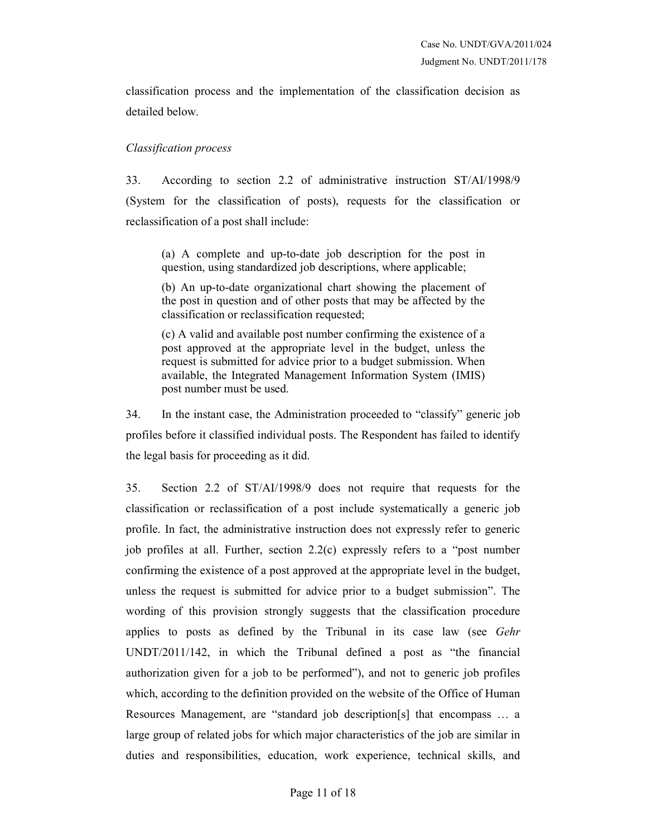classification process and the implementation of the classification decision as detailed below.

#### Classification process

33. According to section 2.2 of administrative instruction ST/AI/1998/9 (System for the classification of posts), requests for the classification or reclassification of a post shall include:

(a) A complete and up-to-date job description for the post in question, using standardized job descriptions, where applicable;

(b) An up-to-date organizational chart showing the placement of the post in question and of other posts that may be affected by the classification or reclassification requested;

(c) A valid and available post number confirming the existence of a post approved at the appropriate level in the budget, unless the request is submitted for advice prior to a budget submission. When available, the Integrated Management Information System (IMIS) post number must be used.

34. In the instant case, the Administration proceeded to "classify" generic job profiles before it classified individual posts. The Respondent has failed to identify the legal basis for proceeding as it did.

35. Section 2.2 of ST/AI/1998/9 does not require that requests for the classification or reclassification of a post include systematically a generic job profile. In fact, the administrative instruction does not expressly refer to generic job profiles at all. Further, section 2.2(c) expressly refers to a "post number confirming the existence of a post approved at the appropriate level in the budget, unless the request is submitted for advice prior to a budget submission". The wording of this provision strongly suggests that the classification procedure applies to posts as defined by the Tribunal in its case law (see Gehr UNDT/2011/142, in which the Tribunal defined a post as "the financial authorization given for a job to be performed"), and not to generic job profiles which, according to the definition provided on the website of the Office of Human Resources Management, are "standard job description[s] that encompass … a large group of related jobs for which major characteristics of the job are similar in duties and responsibilities, education, work experience, technical skills, and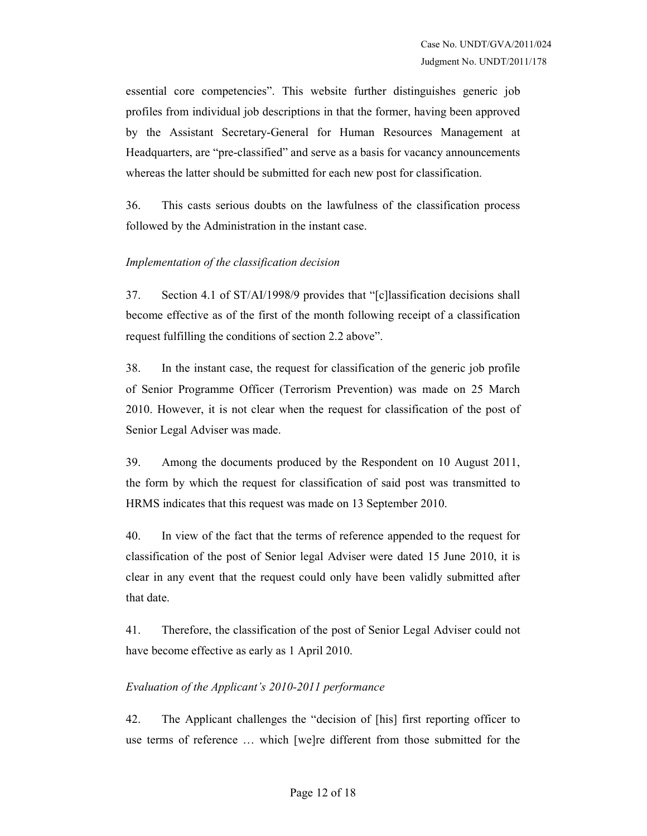essential core competencies". This website further distinguishes generic job profiles from individual job descriptions in that the former, having been approved by the Assistant Secretary-General for Human Resources Management at Headquarters, are "pre-classified" and serve as a basis for vacancy announcements whereas the latter should be submitted for each new post for classification.

36. This casts serious doubts on the lawfulness of the classification process followed by the Administration in the instant case.

## Implementation of the classification decision

37. Section 4.1 of ST/AI/1998/9 provides that "[c]lassification decisions shall become effective as of the first of the month following receipt of a classification request fulfilling the conditions of section 2.2 above".

38. In the instant case, the request for classification of the generic job profile of Senior Programme Officer (Terrorism Prevention) was made on 25 March 2010. However, it is not clear when the request for classification of the post of Senior Legal Adviser was made.

39. Among the documents produced by the Respondent on 10 August 2011, the form by which the request for classification of said post was transmitted to HRMS indicates that this request was made on 13 September 2010.

40. In view of the fact that the terms of reference appended to the request for classification of the post of Senior legal Adviser were dated 15 June 2010, it is clear in any event that the request could only have been validly submitted after that date.

41. Therefore, the classification of the post of Senior Legal Adviser could not have become effective as early as 1 April 2010.

## Evaluation of the Applicant's 2010-2011 performance

42. The Applicant challenges the "decision of [his] first reporting officer to use terms of reference … which [we]re different from those submitted for the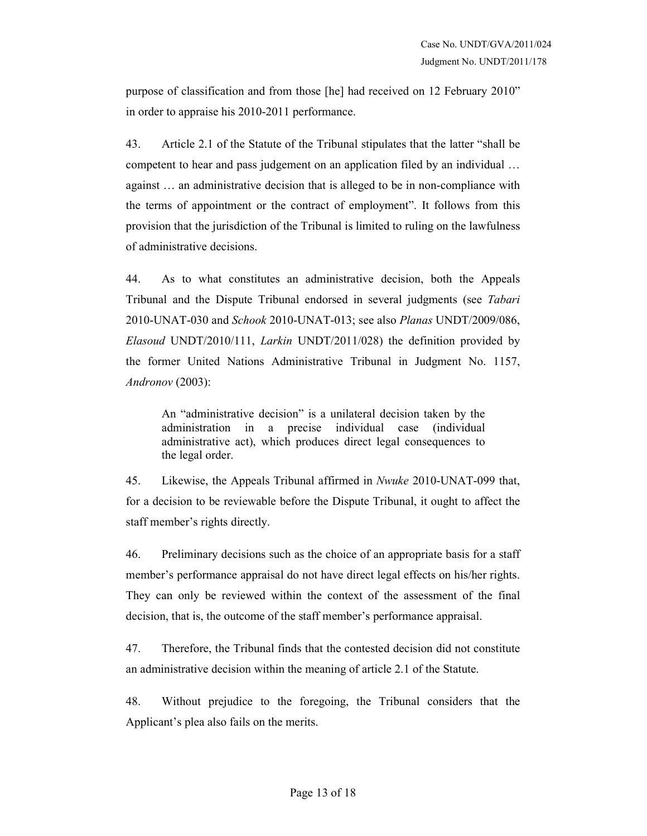purpose of classification and from those [he] had received on 12 February 2010" in order to appraise his 2010-2011 performance.

43. Article 2.1 of the Statute of the Tribunal stipulates that the latter "shall be competent to hear and pass judgement on an application filed by an individual … against … an administrative decision that is alleged to be in non-compliance with the terms of appointment or the contract of employment". It follows from this provision that the jurisdiction of the Tribunal is limited to ruling on the lawfulness of administrative decisions.

44. As to what constitutes an administrative decision, both the Appeals Tribunal and the Dispute Tribunal endorsed in several judgments (see Tabari 2010-UNAT-030 and Schook 2010-UNAT-013; see also Planas UNDT/2009/086, Elasoud UNDT/2010/111, Larkin UNDT/2011/028) the definition provided by the former United Nations Administrative Tribunal in Judgment No. 1157, Andronov (2003):

An "administrative decision" is a unilateral decision taken by the administration in a precise individual case (individual administrative act), which produces direct legal consequences to the legal order.

45. Likewise, the Appeals Tribunal affirmed in Nwuke 2010-UNAT-099 that, for a decision to be reviewable before the Dispute Tribunal, it ought to affect the staff member's rights directly.

46. Preliminary decisions such as the choice of an appropriate basis for a staff member's performance appraisal do not have direct legal effects on his/her rights. They can only be reviewed within the context of the assessment of the final decision, that is, the outcome of the staff member's performance appraisal.

47. Therefore, the Tribunal finds that the contested decision did not constitute an administrative decision within the meaning of article 2.1 of the Statute.

48. Without prejudice to the foregoing, the Tribunal considers that the Applicant's plea also fails on the merits.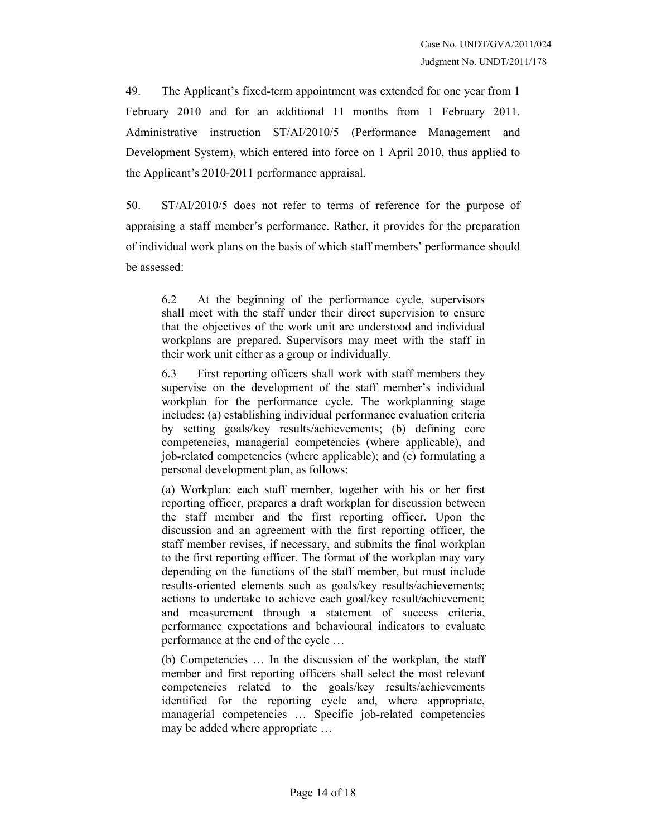49. The Applicant's fixed-term appointment was extended for one year from 1 February 2010 and for an additional 11 months from 1 February 2011. Administrative instruction ST/AI/2010/5 (Performance Management and Development System), which entered into force on 1 April 2010, thus applied to the Applicant's 2010-2011 performance appraisal.

50. ST/AI/2010/5 does not refer to terms of reference for the purpose of appraising a staff member's performance. Rather, it provides for the preparation of individual work plans on the basis of which staff members' performance should be assessed:

6.2 At the beginning of the performance cycle, supervisors shall meet with the staff under their direct supervision to ensure that the objectives of the work unit are understood and individual workplans are prepared. Supervisors may meet with the staff in their work unit either as a group or individually.

6.3 First reporting officers shall work with staff members they supervise on the development of the staff member's individual workplan for the performance cycle. The workplanning stage includes: (a) establishing individual performance evaluation criteria by setting goals/key results/achievements; (b) defining core competencies, managerial competencies (where applicable), and job-related competencies (where applicable); and (c) formulating a personal development plan, as follows:

(a) Workplan: each staff member, together with his or her first reporting officer, prepares a draft workplan for discussion between the staff member and the first reporting officer. Upon the discussion and an agreement with the first reporting officer, the staff member revises, if necessary, and submits the final workplan to the first reporting officer. The format of the workplan may vary depending on the functions of the staff member, but must include results-oriented elements such as goals/key results/achievements; actions to undertake to achieve each goal/key result/achievement; and measurement through a statement of success criteria, performance expectations and behavioural indicators to evaluate performance at the end of the cycle …

(b) Competencies … In the discussion of the workplan, the staff member and first reporting officers shall select the most relevant competencies related to the goals/key results/achievements identified for the reporting cycle and, where appropriate, managerial competencies … Specific job-related competencies may be added where appropriate …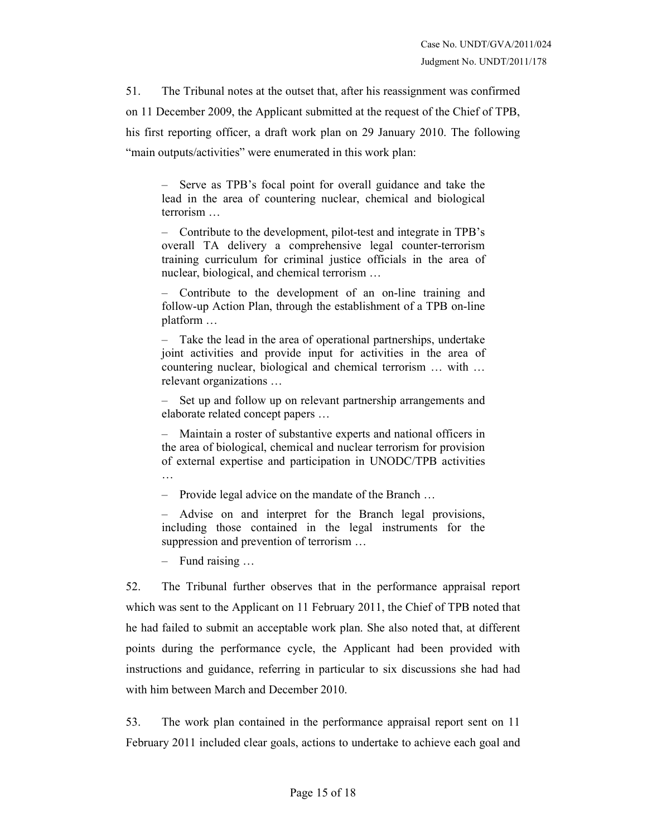51. The Tribunal notes at the outset that, after his reassignment was confirmed on 11 December 2009, the Applicant submitted at the request of the Chief of TPB, his first reporting officer, a draft work plan on 29 January 2010. The following "main outputs/activities" were enumerated in this work plan:

– Serve as TPB's focal point for overall guidance and take the lead in the area of countering nuclear, chemical and biological terrorism …

– Contribute to the development, pilot-test and integrate in TPB's overall TA delivery a comprehensive legal counter-terrorism training curriculum for criminal justice officials in the area of nuclear, biological, and chemical terrorism …

– Contribute to the development of an on-line training and follow-up Action Plan, through the establishment of a TPB on-line platform …

– Take the lead in the area of operational partnerships, undertake joint activities and provide input for activities in the area of countering nuclear, biological and chemical terrorism … with … relevant organizations …

Set up and follow up on relevant partnership arrangements and elaborate related concept papers …

– Maintain a roster of substantive experts and national officers in the area of biological, chemical and nuclear terrorism for provision of external expertise and participation in UNODC/TPB activities …

– Provide legal advice on the mandate of the Branch …

– Advise on and interpret for the Branch legal provisions, including those contained in the legal instruments for the suppression and prevention of terrorism …

– Fund raising …

52. The Tribunal further observes that in the performance appraisal report which was sent to the Applicant on 11 February 2011, the Chief of TPB noted that he had failed to submit an acceptable work plan. She also noted that, at different points during the performance cycle, the Applicant had been provided with instructions and guidance, referring in particular to six discussions she had had with him between March and December 2010.

53. The work plan contained in the performance appraisal report sent on 11 February 2011 included clear goals, actions to undertake to achieve each goal and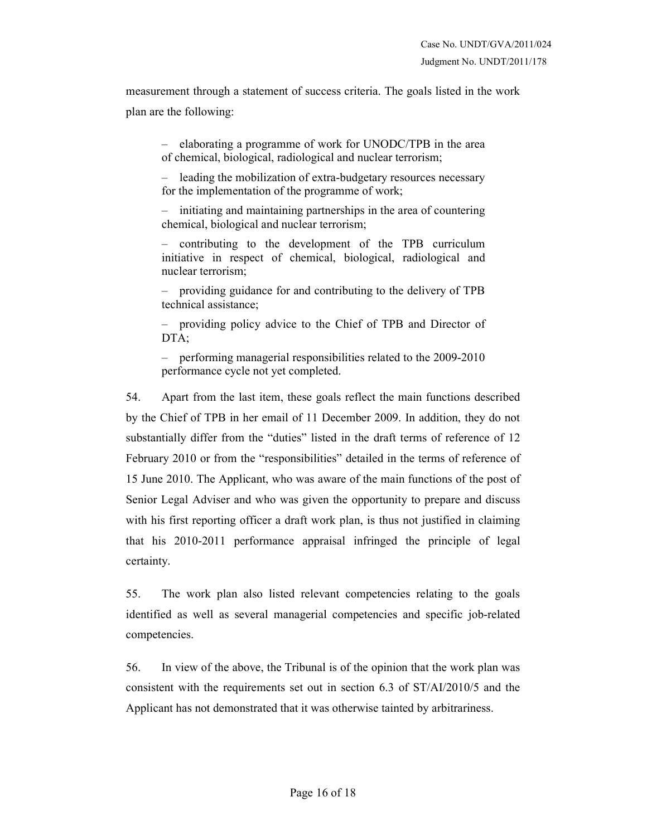measurement through a statement of success criteria. The goals listed in the work plan are the following:

– elaborating a programme of work for UNODC/TPB in the area of chemical, biological, radiological and nuclear terrorism;

– leading the mobilization of extra-budgetary resources necessary for the implementation of the programme of work;

– initiating and maintaining partnerships in the area of countering chemical, biological and nuclear terrorism;

– contributing to the development of the TPB curriculum initiative in respect of chemical, biological, radiological and nuclear terrorism;

– providing guidance for and contributing to the delivery of TPB technical assistance;

– providing policy advice to the Chief of TPB and Director of DTA;

– performing managerial responsibilities related to the 2009-2010 performance cycle not yet completed.

54. Apart from the last item, these goals reflect the main functions described by the Chief of TPB in her email of 11 December 2009. In addition, they do not substantially differ from the "duties" listed in the draft terms of reference of 12 February 2010 or from the "responsibilities" detailed in the terms of reference of 15 June 2010. The Applicant, who was aware of the main functions of the post of Senior Legal Adviser and who was given the opportunity to prepare and discuss with his first reporting officer a draft work plan, is thus not justified in claiming that his 2010-2011 performance appraisal infringed the principle of legal certainty.

55. The work plan also listed relevant competencies relating to the goals identified as well as several managerial competencies and specific job-related competencies.

56. In view of the above, the Tribunal is of the opinion that the work plan was consistent with the requirements set out in section 6.3 of ST/AI/2010/5 and the Applicant has not demonstrated that it was otherwise tainted by arbitrariness.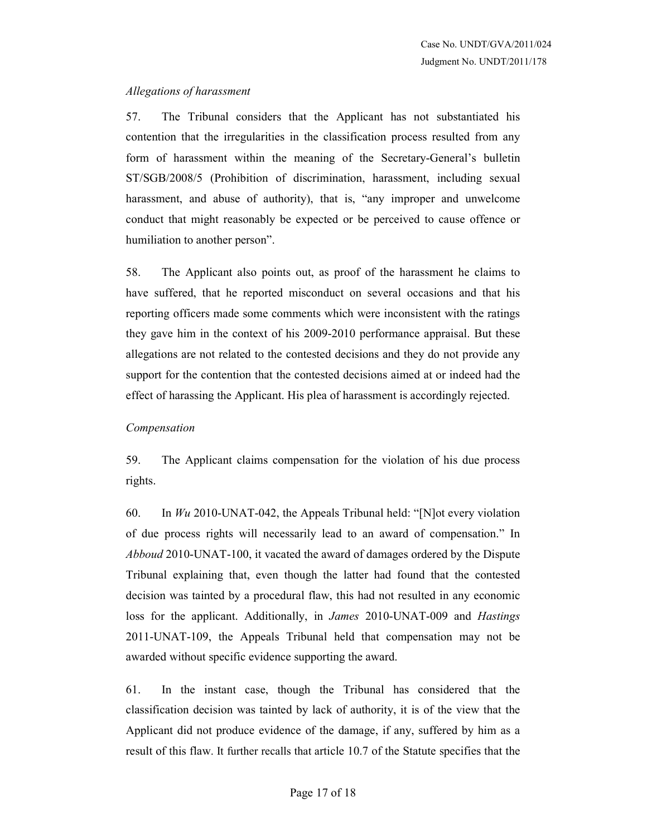## Allegations of harassment

57. The Tribunal considers that the Applicant has not substantiated his contention that the irregularities in the classification process resulted from any form of harassment within the meaning of the Secretary-General's bulletin ST/SGB/2008/5 (Prohibition of discrimination, harassment, including sexual harassment, and abuse of authority), that is, "any improper and unwelcome conduct that might reasonably be expected or be perceived to cause offence or humiliation to another person".

58. The Applicant also points out, as proof of the harassment he claims to have suffered, that he reported misconduct on several occasions and that his reporting officers made some comments which were inconsistent with the ratings they gave him in the context of his 2009-2010 performance appraisal. But these allegations are not related to the contested decisions and they do not provide any support for the contention that the contested decisions aimed at or indeed had the effect of harassing the Applicant. His plea of harassment is accordingly rejected.

#### Compensation

59. The Applicant claims compensation for the violation of his due process rights.

60. In  $Wu$  2010-UNAT-042, the Appeals Tribunal held: "[N] ot every violation of due process rights will necessarily lead to an award of compensation." In Abboud 2010-UNAT-100, it vacated the award of damages ordered by the Dispute Tribunal explaining that, even though the latter had found that the contested decision was tainted by a procedural flaw, this had not resulted in any economic loss for the applicant. Additionally, in James 2010-UNAT-009 and Hastings 2011-UNAT-109, the Appeals Tribunal held that compensation may not be awarded without specific evidence supporting the award.

61. In the instant case, though the Tribunal has considered that the classification decision was tainted by lack of authority, it is of the view that the Applicant did not produce evidence of the damage, if any, suffered by him as a result of this flaw. It further recalls that article 10.7 of the Statute specifies that the